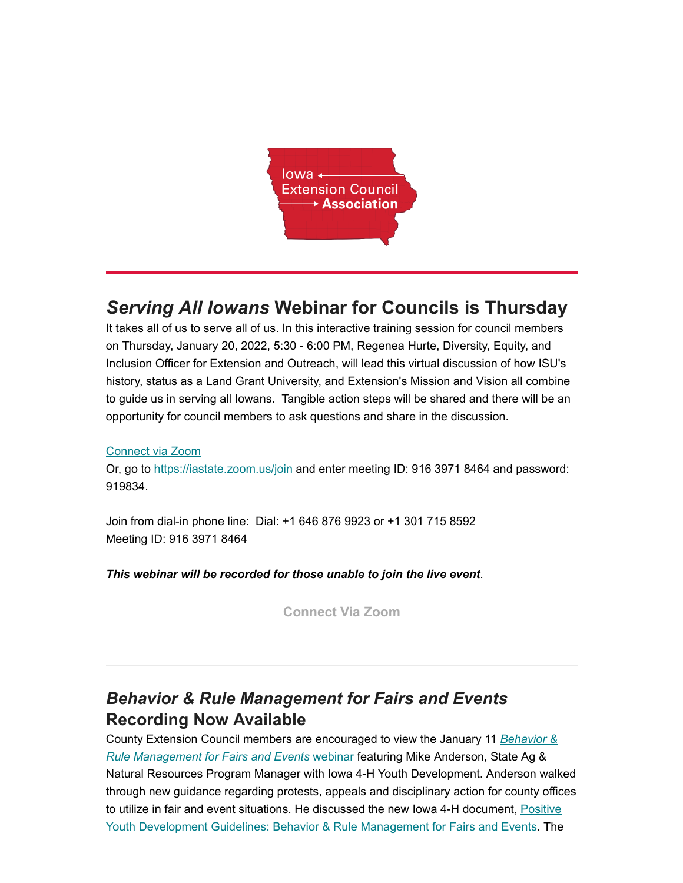

## *Serving All Iowans* **Webinar for Councils is Thursday**

It takes all of us to serve all of us. In this interactive training session for council members on Thursday, January 20, 2022, 5:30 - 6:00 PM, Regenea Hurte, Diversity, Equity, and Inclusion Officer for Extension and Outreach, will lead this virtual discussion of how ISU's history, status as a Land Grant University, and Extension's Mission and Vision all combine to guide us in serving all Iowans. Tangible action steps will be shared and there will be an opportunity for council members to ask questions and share in the discussion.

## [Connect via Zoom](https://iastate.zoom.us/j/91639718464?pwd=UTlicno4SDIwWGpUaG13cE1sZEMzZz09&from=addon)

Or, go to <https://iastate.zoom.us/join> and enter meeting ID: 916 3971 8464 and password: 919834.

Join from dial-in phone line: Dial: +1 646 876 9923 or +1 301 715 8592 Meeting ID: 916 3971 8464

*This webinar will be recorded for those unable to join the live event*.

**[Connect Via Zoom](https://iastate.zoom.us/j/91639718464?pwd=UTlicno4SDIwWGpUaG13cE1sZEMzZz09&from=addon)**

## *Behavior & Rule Management for Fairs and Events* **Recording Now Available**

[County Extension Council members are encouraged to view the January 11](https://www.iaextensioncouncils.org/behavior-rule-management-fairs-and-events) *Behavior & Rule Management for Fairs and Events* webinar featuring Mike Anderson, State Ag & Natural Resources Program Manager with Iowa 4-H Youth Development. Anderson walked through new guidance regarding protests, appeals and disciplinary action for county offices to utilize in fair and event situations. He discussed the new lowa 4-H document, Positive [Youth Development Guidelines: Behavior & Rule Management for Fairs and Events. The](https://www.iaextensioncouncils.org/webinar-set-councils-discuss-fairs-events)